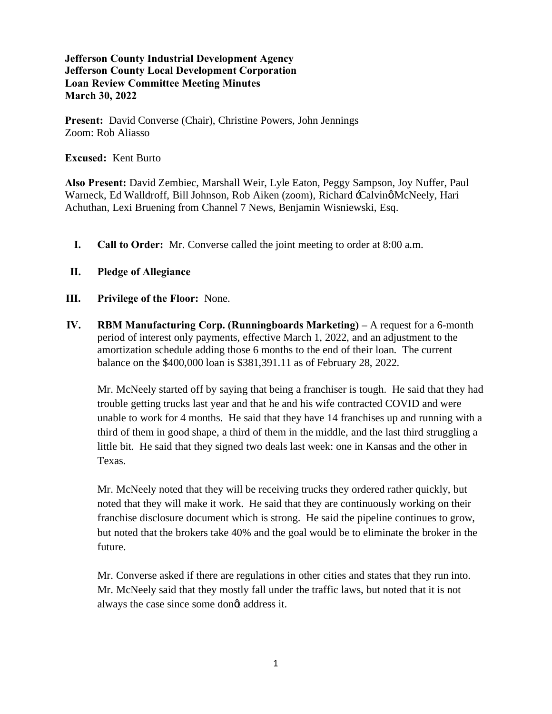**Present:** David Converse (Chair), Christine Powers, John Jennings Zoom: Rob Aliasso

**Excused:** Kent Burto

**Also Present:** David Zembiec, Marshall Weir, Lyle Eaton, Peggy Sampson, Joy Nuffer, Paul Warneck, Ed Walldroff, Bill Johnson, Rob Aiken (zoom), Richard -Calvinø McNeely, Hari Achuthan, Lexi Bruening from Channel 7 News, Benjamin Wisniewski, Esq.

- **I. Call to Order:** Mr. Converse called the joint meeting to order at 8:00 a.m.
- **II. Pledge of Allegiance**
- **III. Privilege of the Floor:** None.
- **IV. RBM Manufacturing Corp. (Runningboards Marketing) –** A request for a 6-month period of interest only payments, effective March 1, 2022, and an adjustment to the amortization schedule adding those 6 months to the end of their loan. The current balance on the \$400,000 loan is \$381,391.11 as of February 28, 2022.

Mr. McNeely started off by saying that being a franchiser is tough. He said that they had trouble getting trucks last year and that he and his wife contracted COVID and were unable to work for 4 months. He said that they have 14 franchises up and running with a third of them in good shape, a third of them in the middle, and the last third struggling a little bit. He said that they signed two deals last week: one in Kansas and the other in Texas.

Mr. McNeely noted that they will be receiving trucks they ordered rather quickly, but noted that they will make it work. He said that they are continuously working on their franchise disclosure document which is strong. He said the pipeline continues to grow, but noted that the brokers take 40% and the goal would be to eliminate the broker in the future.

Mr. Converse asked if there are regulations in other cities and states that they run into. Mr. McNeely said that they mostly fall under the traffic laws, but noted that it is not always the case since some dongt address it.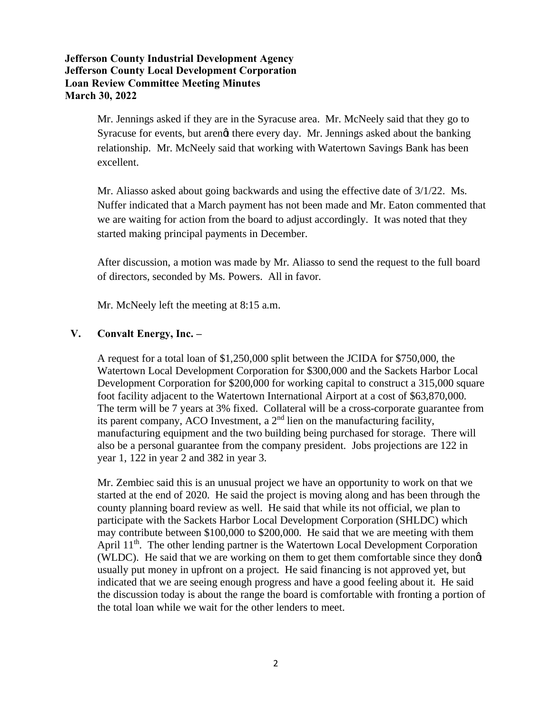Mr. Jennings asked if they are in the Syracuse area. Mr. McNeely said that they go to Syracuse for events, but arengt there every day. Mr. Jennings asked about the banking relationship. Mr. McNeely said that working with Watertown Savings Bank has been excellent.

Mr. Aliasso asked about going backwards and using the effective date of 3/1/22. Ms. Nuffer indicated that a March payment has not been made and Mr. Eaton commented that we are waiting for action from the board to adjust accordingly. It was noted that they started making principal payments in December.

After discussion, a motion was made by Mr. Aliasso to send the request to the full board of directors, seconded by Ms. Powers. All in favor.

Mr. McNeely left the meeting at 8:15 a.m.

#### **V. Convalt Energy, Inc. –**

A request for a total loan of \$1,250,000 split between the JCIDA for \$750,000, the Watertown Local Development Corporation for \$300,000 and the Sackets Harbor Local Development Corporation for \$200,000 for working capital to construct a 315,000 square foot facility adjacent to the Watertown International Airport at a cost of \$63,870,000. The term will be 7 years at 3% fixed. Collateral will be a cross-corporate guarantee from its parent company, ACO Investment, a  $2<sup>nd</sup>$  lien on the manufacturing facility, manufacturing equipment and the two building being purchased for storage. There will also be a personal guarantee from the company president. Jobs projections are 122 in year 1, 122 in year 2 and 382 in year 3.

Mr. Zembiec said this is an unusual project we have an opportunity to work on that we started at the end of 2020. He said the project is moving along and has been through the county planning board review as well. He said that while its not official, we plan to participate with the Sackets Harbor Local Development Corporation (SHLDC) which may contribute between \$100,000 to \$200,000. He said that we are meeting with them April 11<sup>th</sup>. The other lending partner is the Watertown Local Development Corporation (WLDC). He said that we are working on them to get them comfortable since they dong usually put money in upfront on a project. He said financing is not approved yet, but indicated that we are seeing enough progress and have a good feeling about it. He said the discussion today is about the range the board is comfortable with fronting a portion of the total loan while we wait for the other lenders to meet.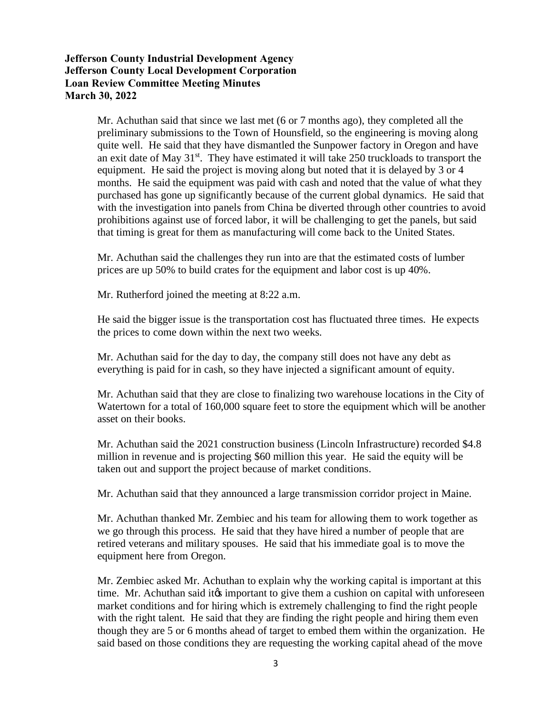Mr. Achuthan said that since we last met (6 or 7 months ago), they completed all the preliminary submissions to the Town of Hounsfield, so the engineering is moving along quite well. He said that they have dismantled the Sunpower factory in Oregon and have an exit date of May  $31^{st}$ . They have estimated it will take 250 truckloads to transport the equipment. He said the project is moving along but noted that it is delayed by 3 or 4 months. He said the equipment was paid with cash and noted that the value of what they purchased has gone up significantly because of the current global dynamics. He said that with the investigation into panels from China be diverted through other countries to avoid prohibitions against use of forced labor, it will be challenging to get the panels, but said that timing is great for them as manufacturing will come back to the United States.

Mr. Achuthan said the challenges they run into are that the estimated costs of lumber prices are up 50% to build crates for the equipment and labor cost is up 40%.

Mr. Rutherford joined the meeting at 8:22 a.m.

He said the bigger issue is the transportation cost has fluctuated three times. He expects the prices to come down within the next two weeks.

Mr. Achuthan said for the day to day, the company still does not have any debt as everything is paid for in cash, so they have injected a significant amount of equity.

Mr. Achuthan said that they are close to finalizing two warehouse locations in the City of Watertown for a total of 160,000 square feet to store the equipment which will be another asset on their books.

Mr. Achuthan said the 2021 construction business (Lincoln Infrastructure) recorded \$4.8 million in revenue and is projecting \$60 million this year. He said the equity will be taken out and support the project because of market conditions.

Mr. Achuthan said that they announced a large transmission corridor project in Maine.

Mr. Achuthan thanked Mr. Zembiec and his team for allowing them to work together as we go through this process. He said that they have hired a number of people that are retired veterans and military spouses. He said that his immediate goal is to move the equipment here from Oregon.

Mr. Zembiec asked Mr. Achuthan to explain why the working capital is important at this time. Mr. Achuthan said it is important to give them a cushion on capital with unforeseen market conditions and for hiring which is extremely challenging to find the right people with the right talent. He said that they are finding the right people and hiring them even though they are 5 or 6 months ahead of target to embed them within the organization. He said based on those conditions they are requesting the working capital ahead of the move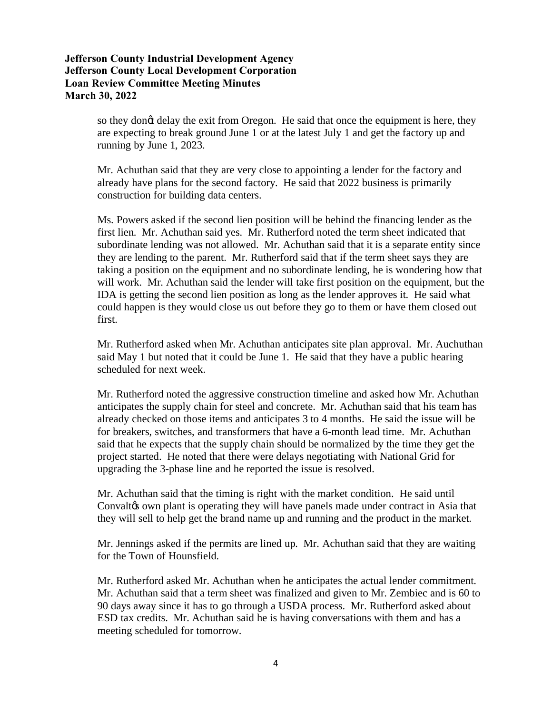so they dong delay the exit from Oregon. He said that once the equipment is here, they are expecting to break ground June 1 or at the latest July 1 and get the factory up and running by June 1, 2023.

Mr. Achuthan said that they are very close to appointing a lender for the factory and already have plans for the second factory. He said that 2022 business is primarily construction for building data centers.

Ms. Powers asked if the second lien position will be behind the financing lender as the first lien. Mr. Achuthan said yes. Mr. Rutherford noted the term sheet indicated that subordinate lending was not allowed. Mr. Achuthan said that it is a separate entity since they are lending to the parent. Mr. Rutherford said that if the term sheet says they are taking a position on the equipment and no subordinate lending, he is wondering how that will work. Mr. Achuthan said the lender will take first position on the equipment, but the IDA is getting the second lien position as long as the lender approves it. He said what could happen is they would close us out before they go to them or have them closed out first.

Mr. Rutherford asked when Mr. Achuthan anticipates site plan approval. Mr. Auchuthan said May 1 but noted that it could be June 1. He said that they have a public hearing scheduled for next week.

Mr. Rutherford noted the aggressive construction timeline and asked how Mr. Achuthan anticipates the supply chain for steel and concrete. Mr. Achuthan said that his team has already checked on those items and anticipates 3 to 4 months. He said the issue will be for breakers, switches, and transformers that have a 6-month lead time. Mr. Achuthan said that he expects that the supply chain should be normalized by the time they get the project started. He noted that there were delays negotiating with National Grid for upgrading the 3-phase line and he reported the issue is resolved.

Mr. Achuthan said that the timing is right with the market condition. He said until Convalto own plant is operating they will have panels made under contract in Asia that they will sell to help get the brand name up and running and the product in the market.

Mr. Jennings asked if the permits are lined up. Mr. Achuthan said that they are waiting for the Town of Hounsfield.

Mr. Rutherford asked Mr. Achuthan when he anticipates the actual lender commitment. Mr. Achuthan said that a term sheet was finalized and given to Mr. Zembiec and is 60 to 90 days away since it has to go through a USDA process. Mr. Rutherford asked about ESD tax credits. Mr. Achuthan said he is having conversations with them and has a meeting scheduled for tomorrow.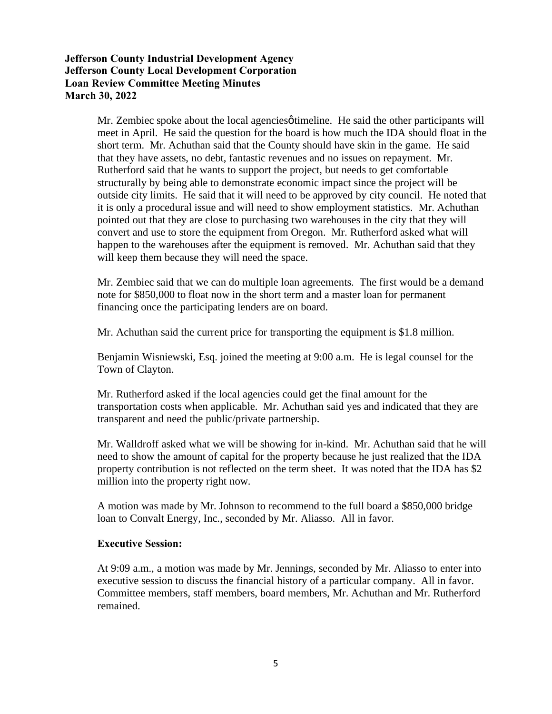Mr. Zembiec spoke about the local agencies otimeline. He said the other participants will meet in April. He said the question for the board is how much the IDA should float in the short term. Mr. Achuthan said that the County should have skin in the game. He said that they have assets, no debt, fantastic revenues and no issues on repayment. Mr. Rutherford said that he wants to support the project, but needs to get comfortable structurally by being able to demonstrate economic impact since the project will be outside city limits. He said that it will need to be approved by city council. He noted that it is only a procedural issue and will need to show employment statistics. Mr. Achuthan pointed out that they are close to purchasing two warehouses in the city that they will convert and use to store the equipment from Oregon. Mr. Rutherford asked what will happen to the warehouses after the equipment is removed. Mr. Achuthan said that they will keep them because they will need the space.

Mr. Zembiec said that we can do multiple loan agreements. The first would be a demand note for \$850,000 to float now in the short term and a master loan for permanent financing once the participating lenders are on board.

Mr. Achuthan said the current price for transporting the equipment is \$1.8 million.

Benjamin Wisniewski, Esq. joined the meeting at 9:00 a.m. He is legal counsel for the Town of Clayton.

Mr. Rutherford asked if the local agencies could get the final amount for the transportation costs when applicable. Mr. Achuthan said yes and indicated that they are transparent and need the public/private partnership.

Mr. Walldroff asked what we will be showing for in-kind. Mr. Achuthan said that he will need to show the amount of capital for the property because he just realized that the IDA property contribution is not reflected on the term sheet. It was noted that the IDA has \$2 million into the property right now.

A motion was made by Mr. Johnson to recommend to the full board a \$850,000 bridge loan to Convalt Energy, Inc., seconded by Mr. Aliasso. All in favor.

#### **Executive Session:**

At 9:09 a.m., a motion was made by Mr. Jennings, seconded by Mr. Aliasso to enter into executive session to discuss the financial history of a particular company. All in favor. Committee members, staff members, board members, Mr. Achuthan and Mr. Rutherford remained.